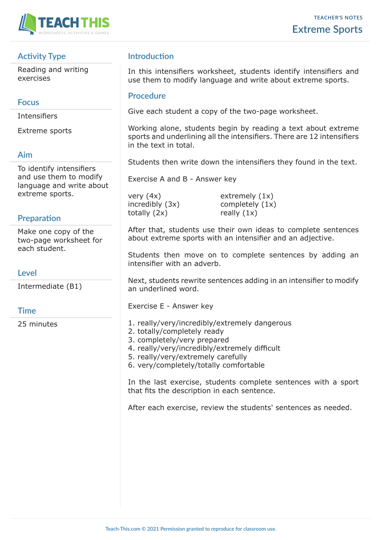

# **Activity Type**

Reading and writing exercises

### **Focus**

Intensifiers

Extreme sports

### **Aim**

To identify intensifiers and use them to modify language and write about extreme sports.

# **Preparation**

Make one copy of the two-page worksheet for each student.

#### **Level**

Intermediate (B1)

# **Time**

25 minutes

# **Introduction**

In this intensifiers worksheet, students identify intensifiers and use them to modify language and write about extreme sports.

#### **Procedure**

Give each student a copy of the two-page worksheet.

Working alone, students begin by reading a text about extreme sports and underlining all the intensifiers. There are 12 intensifiers in the text in total.

Students then write down the intensifiers they found in the text.

Exercise A and B - Answer key

very (4x) extremely (1x)  $\text{increably (3x)}$  completely  $(1x)$ totally  $(2x)$  really  $(1x)$ 

After that, students use their own ideas to complete sentences about extreme sports with an intensifier and an adjective.

Students then move on to complete sentences by adding an intensifier with an adverb.

Next, students rewrite sentences adding in an intensifier to modify an underlined word.

Exercise E - Answer key

- 1. really/very/incredibly/extremely dangerous
- 2. totally/completely ready
- 3. completely/very prepared
- 4. really/very/incredibly/extremely difficult
- 5. really/very/extremely carefully
- 6. very/completely/totally comfortable

In the last exercise, students complete sentences with a sport that fits the description in each sentence.

After each exercise, review the students' sentences as needed.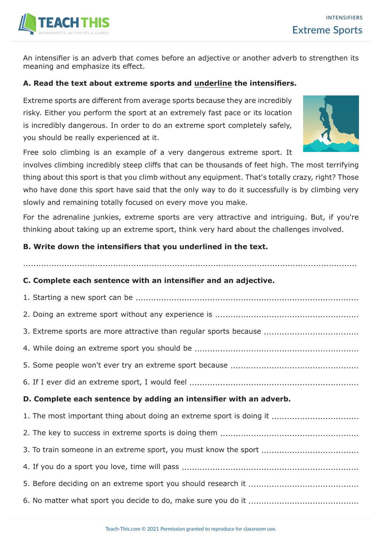

An intensifier is an adverb that comes before an adjective or another adverb to strengthen its meaning and emphasize its effect.

### **A. Read the text about extreme sports and underline the intensifiers.**

Extreme sports are different from average sports because they are incredibly risky. Either you perform the sport at an extremely fast pace or its location is incredibly dangerous. In order to do an extreme sport completely safely, you should be really experienced at it.

Free solo climbing is an example of a very dangerous extreme sport. It

involves climbing incredibly steep cliffs that can be thousands of feet high. The most terrifying thing about this sport is that you climb without any equipment. That's totally crazy, right? Those who have done this sport have said that the only way to do it successfully is by climbing very slowly and remaining totally focused on every move you make.

For the adrenaline junkies, extreme sports are very attractive and intriguing. But, if you're thinking about taking up an extreme sport, think very hard about the challenges involved.

..................................................................................................................................

### **B. Write down the intensifiers that you underlined in the text.**

#### **C. Complete each sentence with an intensifier and an adjective.**

| 3. Extreme sports are more attractive than regular sports because    |
|----------------------------------------------------------------------|
|                                                                      |
|                                                                      |
|                                                                      |
| D. Complete each sentence by adding an intensifier with an adverb.   |
|                                                                      |
| 1. The most important thing about doing an extreme sport is doing it |
|                                                                      |
| 3. To train someone in an extreme sport, you must know the sport     |
|                                                                      |
|                                                                      |